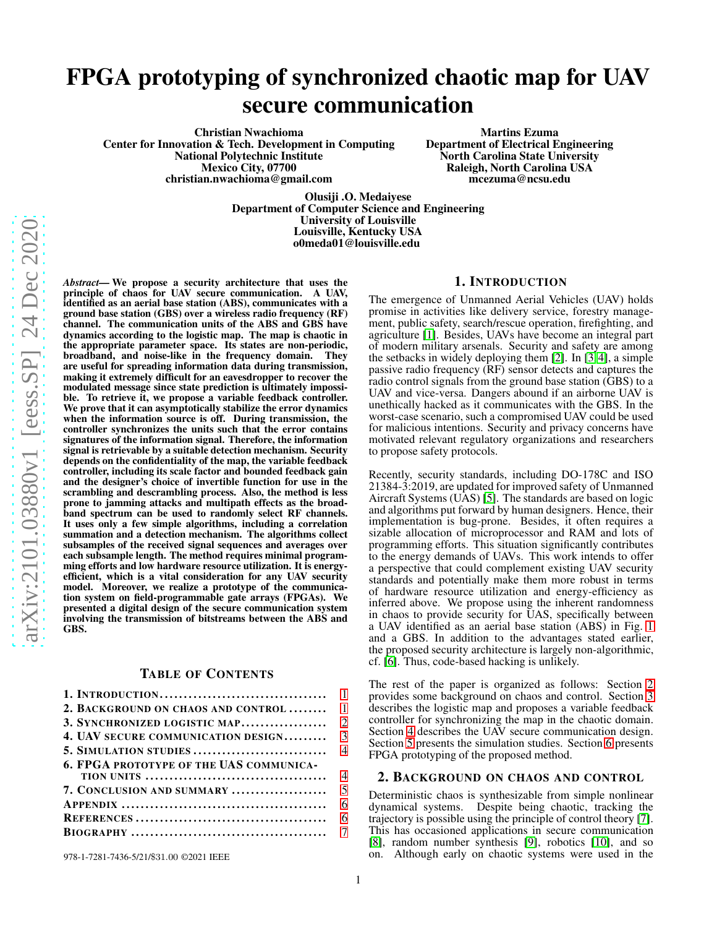# FPGA prototyping of synchronized chaotic map for UAV secure communication

Christian Nwachioma Center for Innovation & Tech. Development in Computing National Polytechnic Institute Mexico City, 07700 christian.nwachioma@gmail.com

Martins Ezuma Department of Electrical Engineering North Carolina State University Raleigh, North Carolina USA mcezuma@ncsu.edu

Olusiji .O. Medaiyese Department of Computer Science and Engineering University of Louisville Louisville, Kentucky USA o0meda01@louisville.edu

*Abstract—* We propose a security architecture that uses the principle of chaos for UAV secure communication. A UAV, identified as an aerial base station (ABS), communicates with a ground base station (GBS) over a wireless radio frequency (RF) channel. The communication units of the ABS and GBS have dynamics according to the logistic map. The map is chaotic in the appropriate parameter space. Its states are non-periodic, broadband, and noise-like in the frequency domain. They are useful for spreading information data during transmission, making it extremely difficult for an eavesdropper to recover the modulated message since state prediction is ultimately impossible. To retrieve it, we propose a variable feedback controller. We prove that it can asymptotically stabilize the error dynamics when the information source is off. During transmission, the controller synchronizes the units such that the error contains signatures of the information signal. Therefore, the information signal is retrievable by a suitable detection mechanism. Security depends on the confidentiality of the map, the variable feedback controller, including its scale factor and bounded feedback gain and the designer's choice of invertible function for use in the scrambling and descrambling process. Also, the method is less prone to jamming attacks and multipath effects as the broadband spectrum can be used to randomly select RF channels. It uses only a few simple algorithms, including a correlation summation and a detection mechanism. The algorithms collect subsamples of the received signal sequences and averages over each subsample length. The method requires minimal programming efforts and low hardware resource utilization. It is energyefficient, which is a vital consideration for any UAV security model. Moreover, we realize a prototype of the communication system on field-programmable gate arrays (FPGAs). We presented a digital design of the secure communication system involving the transmission of bitstreams between the ABS and GBS.

## TABLE OF CONTENTS

| 2. BACKGROUND ON CHAOS AND CONTROL             | $\overline{1}$              |
|------------------------------------------------|-----------------------------|
| 3. SYNCHRONIZED LOGISTIC MAP                   | $\mathcal{D}_{\mathcal{L}}$ |
| 4. UAV SECURE COMMUNICATION DESIGN             | $\mathcal{R}$               |
| 5. SIMULATION STUDIES                          | $\overline{4}$              |
| <b>6. FPGA PROTOTYPE OF THE UAS COMMUNICA-</b> |                             |
|                                                | $\overline{4}$              |
| 7. CONCLUSION AND SUMMARY                      | $\overline{5}$              |
|                                                | 6                           |
|                                                | 6                           |
|                                                |                             |
|                                                |                             |

978-1-7281-7436-5/21/\$31.00 ©2021 IEEE

## 1. INTRODUCTION

<span id="page-0-0"></span>The emergence of Unmanned Aerial Vehicles (UAV) holds promise in activities like delivery service, forestry management, public safety, search/rescue operation, firefighting, and agriculture [\[1\]](#page-5-2). Besides, UAVs have become an integral part of modern military arsenals. Security and safety are among the setbacks in widely deploying them [\[2\]](#page-5-3). In [\[3,](#page-5-4) [4\]](#page-5-5), a simple passive radio frequency (RF) sensor detects and captures the radio control signals from the ground base station (GBS) to a UAV and vice-versa. Dangers abound if an airborne UAV is unethically hacked as it communicates with the GBS. In the worst-case scenario, such a compromised UAV could be used for malicious intentions. Security and privacy concerns have motivated relevant regulatory organizations and researchers to propose safety protocols.

Recently, security standards, including DO-178C and ISO 21384-3:2019, are updated for improved safety of Unmanned Aircraft Systems (UAS) [\[5\]](#page-5-6). The standards are based on logic and algorithms put forward by human designers. Hence, their implementation is bug-prone. Besides, it often requires a sizable allocation of microprocessor and RAM and lots of programming efforts. This situation significantly contributes to the energy demands of UAVs. This work intends to offer a perspective that could complement existing UAV security standards and potentially make them more robust in terms of hardware resource utilization and energy-efficiency as inferred above. We propose using the inherent randomness in chaos to provide security for UAS, specifically between a UAV identified as an aerial base station (ABS) in Fig. [1](#page-1-1) and a GBS. In addition to the advantages stated earlier, the proposed security architecture is largely non-algorithmic, cf. [\[6\]](#page-5-7). Thus, code-based hacking is unlikely.

The rest of the paper is organized as follows: Section [2](#page-0-1) provides some background on chaos and control. Section [3](#page-1-0) describes the logistic map and proposes a variable feedback controller for synchronizing the map in the chaotic domain. Section [4](#page-2-0) describes the UAV secure communication design. Section [5](#page-3-0) presents the simulation studies. Section [6](#page-3-1) presents FPGA prototyping of the proposed method.

## <span id="page-0-1"></span>2. BACKGROUND ON CHAOS AND CONTROL

Deterministic chaos is synthesizable from simple nonlinear dynamical systems. Despite being chaotic, tracking the trajectory is possible using the principle of control theory [\[7\]](#page-5-8). This has occasioned applications in secure communication [\[8\]](#page-5-9), random number synthesis [\[9\]](#page-5-10), robotics [\[10\]](#page-5-11), and so on. Although early on chaotic systems were used in the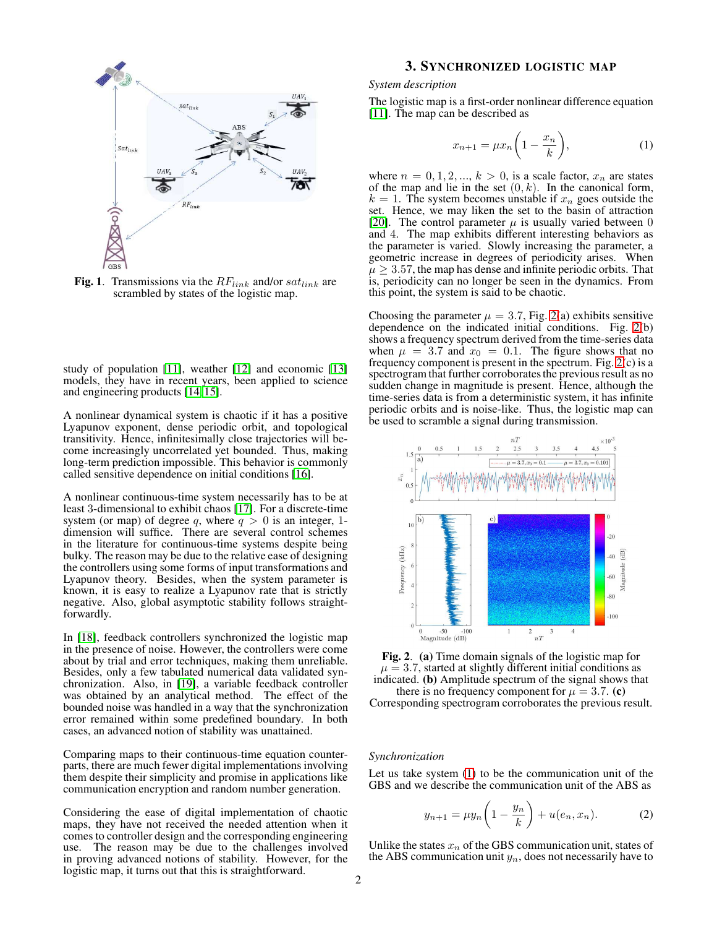

<span id="page-1-1"></span>Fig. 1. Transmissions via the  $RF_{link}$  and/or  $sat_{link}$  are scrambled by states of the logistic map.

study of population [\[11\]](#page-5-12), weather [\[12\]](#page-5-13) and economic [\[13\]](#page-5-14) models, they have in recent years, been applied to science and engineering products [\[14,](#page-5-15) [15\]](#page-6-1).

A nonlinear dynamical system is chaotic if it has a positive Lyapunov exponent, dense periodic orbit, and topological transitivity. Hence, infinitesimally close trajectories will become increasingly uncorrelated yet bounded. Thus, making long-term prediction impossible. This behavior is commonly called sensitive dependence on initial conditions [\[16\]](#page-6-2).

A nonlinear continuous-time system necessarily has to be at least 3-dimensional to exhibit chaos [\[17\]](#page-6-3). For a discrete-time system (or map) of degree q, where  $q > 0$  is an integer, 1dimension will suffice. There are several control schemes in the literature for continuous-time systems despite being bulky. The reason may be due to the relative ease of designing the controllers using some forms of input transformations and Lyapunov theory. Besides, when the system parameter is known, it is easy to realize a Lyapunov rate that is strictly negative. Also, global asymptotic stability follows straightforwardly.

In [\[18\]](#page-6-4), feedback controllers synchronized the logistic map in the presence of noise. However, the controllers were come about by trial and error techniques, making them unreliable. Besides, only a few tabulated numerical data validated synchronization. Also, in [\[19\]](#page-6-5), a variable feedback controller was obtained by an analytical method. The effect of the bounded noise was handled in a way that the synchronization error remained within some predefined boundary. In both cases, an advanced notion of stability was unattained.

Comparing maps to their continuous-time equation counterparts, there are much fewer digital implementations involving them despite their simplicity and promise in applications like communication encryption and random number generation.

Considering the ease of digital implementation of chaotic maps, they have not received the needed attention when it comes to controller design and the corresponding engineering use. The reason may be due to the challenges involved in proving advanced notions of stability. However, for the logistic map, it turns out that this is straightforward.

# 3. SYNCHRONIZED LOGISTIC MAP

## <span id="page-1-4"></span><span id="page-1-0"></span>*System description*

The logistic map is a first-order nonlinear difference equation [\[11\]](#page-5-12). The map can be described as

<span id="page-1-3"></span>
$$
x_{n+1} = \mu x_n \left( 1 - \frac{x_n}{k} \right),\tag{1}
$$

where  $n = 0, 1, 2, \dots, k > 0$ , is a scale factor,  $x_n$  are states of the map and lie in the set  $(0, k)$ . In the canonical form,  $k = 1$ . The system becomes unstable if  $x_n$  goes outside the set. Hence, we may liken the set to the basin of attraction [\[20\]](#page-6-6). The control parameter  $\mu$  is usually varied between 0 and 4. The map exhibits different interesting behaviors as the parameter is varied. Slowly increasing the parameter, a geometric increase in degrees of periodicity arises. When  $\mu \geq 3.57$ , the map has dense and infinite periodic orbits. That is, periodicity can no longer be seen in the dynamics. From this point, the system is said to be chaotic.

Choosing the parameter  $\mu = 3.7$ , Fig. [2\(](#page-1-2)a) exhibits sensitive dependence on the indicated initial conditions. Fig. [2\(](#page-1-2)b) shows a frequency spectrum derived from the time-series data when  $\mu = 3.7$  and  $x_0 = 0.1$ . The figure shows that no frequency component is present in the spectrum. Fig. [2\(](#page-1-2)c) is a spectrogram that further corroborates the previous result as no sudden change in magnitude is present. Hence, although the time-series data is from a deterministic system, it has infinite periodic orbits and is noise-like. Thus, the logistic map can be used to scramble a signal during transmission.



<span id="page-1-2"></span>Fig. 2. (a) Time domain signals of the logistic map for  $\mu = 3.7$ , started at slightly different initial conditions as indicated. (b) Amplitude spectrum of the signal shows that there is no frequency component for  $\mu = 3.7$ . (c)

Corresponding spectrogram corroborates the previous result.

#### <span id="page-1-5"></span>*Synchronization*

Let us take system [\(1\)](#page-1-3) to be the communication unit of the GBS and we describe the communication unit of the ABS as

$$
y_{n+1} = \mu y_n \left( 1 - \frac{y_n}{k} \right) + u(e_n, x_n).
$$
 (2)

Unlike the states  $x_n$  of the GBS communication unit, states of the ABS communication unit  $y_n$ , does not necessarily have to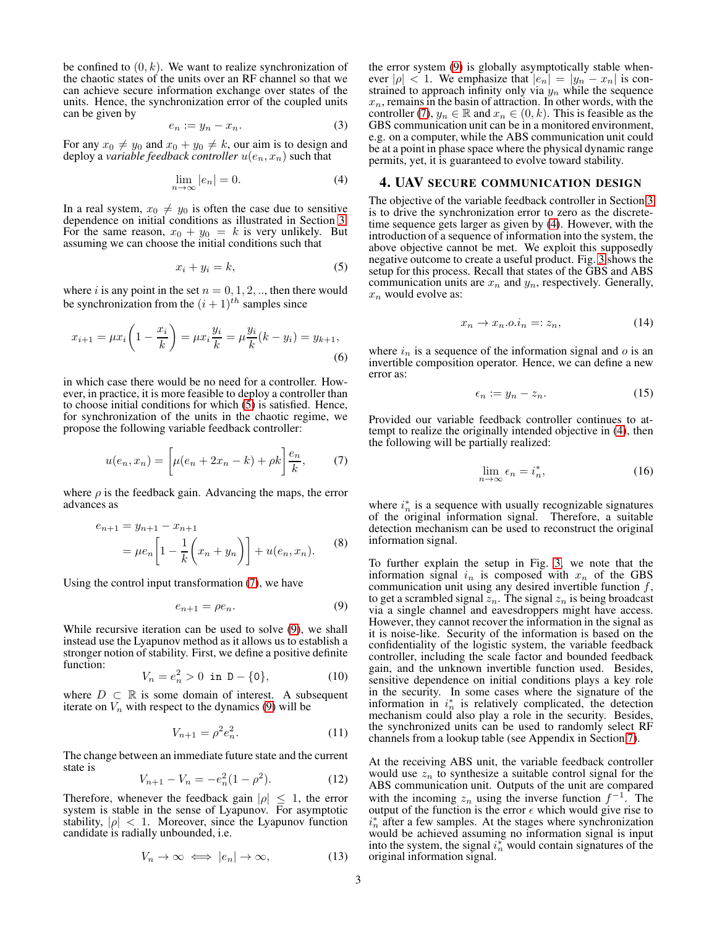be confined to  $(0, k)$ . We want to realize synchronization of the chaotic states of the units over an RF channel so that we can achieve secure information exchange over states of the units. Hence, the synchronization error of the coupled units can be given by

$$
e_n := y_n - x_n. \tag{3}
$$

For any  $x_0 \neq y_0$  and  $x_0 + y_0 \neq k$ , our aim is to design and deploy a *variable feedback controller*  $u(e_n, x_n)$  such that

<span id="page-2-4"></span>
$$
\lim_{n \to \infty} |e_n| = 0. \tag{4}
$$

In a real system,  $x_0 \neq y_0$  is often the case due to sensitive dependence on initial conditions as illustrated in Section [3.](#page-1-4) For the same reason,  $x_0 + y_0 = k$  is very unlikely. But assuming we can choose the initial conditions such that

<span id="page-2-1"></span>
$$
x_i + y_i = k,\t\t(5)
$$

where i is any point in the set  $n = 0, 1, 2, \dots$ , then there would be synchronization from the  $(i + 1)^{th}$  samples since

$$
x_{i+1} = \mu x_i \left( 1 - \frac{x_i}{k} \right) = \mu x_i \frac{y_i}{k} = \mu \frac{y_i}{k} (k - y_i) = y_{k+1},\tag{6}
$$

in which case there would be no need for a controller. However, in practice, it is more feasible to deploy a controller than to choose initial conditions for which [\(5\)](#page-2-1) is satisfied. Hence, for synchronization of the units in the chaotic regime, we propose the following variable feedback controller:

<span id="page-2-2"></span>
$$
u(e_n, x_n) = \left[\mu(e_n + 2x_n - k) + \rho k\right] \frac{e_n}{k},\tag{7}
$$

where  $\rho$  is the feedback gain. Advancing the maps, the error advances as

$$
e_{n+1} = y_{n+1} - x_{n+1}
$$
  
=  $\mu e_n \left[ 1 - \frac{1}{k} \left( x_n + y_n \right) \right] + u(e_n, x_n).$  (8)

Using the control input transformation [\(7\)](#page-2-2), we have

<span id="page-2-3"></span>
$$
e_{n+1} = \rho e_n. \tag{9}
$$

While recursive iteration can be used to solve [\(9\)](#page-2-3), we shall instead use the Lyapunov method as it allows us to establish a stronger notion of stability. First, we define a positive definite function:

$$
V_n = e_n^2 > 0 \text{ in } D - \{0\},\tag{10}
$$

where  $D \subset \mathbb{R}$  is some domain of interest. A subsequent iterate on  $V_n$  with respect to the dynamics [\(9\)](#page-2-3) will be

$$
V_{n+1} = \rho^2 e_n^2.
$$
 (11)

The change between an immediate future state and the current state is

$$
V_{n+1} - V_n = -e_n^2(1 - \rho^2). \tag{12}
$$

Therefore, whenever the feedback gain  $|\rho| \leq 1$ , the error system is stable in the sense of Lyapunov. For asymptotic stability,  $|\rho| < 1$ . Moreover, since the Lyapunov function candidate is radially unbounded, i.e.

$$
V_n \to \infty \iff |e_n| \to \infty, \tag{13}
$$

the error system [\(9\)](#page-2-3) is globally asymptotically stable whenever  $|\rho| < 1$ . We emphasize that  $|e_n| = |y_n - x_n|$  is constrained to approach infinity only via  $y_n$  while the sequence  $x_n$ , remains in the basin of attraction. In other words, with the controller [\(7\)](#page-2-2),  $y_n \in \mathbb{R}$  and  $x_n \in (0, k)$ . This is feasible as the GBS communication unit can be in a monitored environment, e.g. on a computer, while the ABS communication unit could be at a point in phase space where the physical dynamic range permits, yet, it is guaranteed to evolve toward stability.

## <span id="page-2-0"></span>4. UAV SECURE COMMUNICATION DESIGN

The objective of the variable feedback controller in Section [3](#page-1-5) is to drive the synchronization error to zero as the discretetime sequence gets larger as given by [\(4\)](#page-2-4). However, with the introduction of a sequence of information into the system, the above objective cannot be met. We exploit this supposedly negative outcome to create a useful product. Fig. [3](#page-3-2) shows the setup for this process. Recall that states of the GBS and ABS communication units are  $x_n$  and  $y_n$ , respectively. Generally,  $x_n$  would evolve as:

$$
x_n \to x_n.o.i_n =: z_n,
$$
 (14)

where  $i_n$  is a sequence of the information signal and o is an invertible composition operator. Hence, we can define a new error as:

$$
\epsilon_n := y_n - z_n. \tag{15}
$$

Provided our variable feedback controller continues to attempt to realize the originally intended objective in [\(4\)](#page-2-4), then the following will be partially realized:

$$
\lim_{n \to \infty} \epsilon_n = i_n^*,\tag{16}
$$

where  $i_n^*$  is a sequence with usually recognizable signatures of the original information signal. Therefore, a suitable detection mechanism can be used to reconstruct the original information signal.

To further explain the setup in Fig. [3,](#page-3-2) we note that the information signal  $i_n$  is composed with  $x_n$  of the GBS communication unit using any desired invertible function  $f$ , to get a scrambled signal  $z_n$ . The signal  $z_n$  is being broadcast via a single channel and eavesdroppers might have access. However, they cannot recover the information in the signal as it is noise-like. Security of the information is based on the confidentiality of the logistic system, the variable feedback controller, including the scale factor and bounded feedback gain, and the unknown invertible function used. Besides, sensitive dependence on initial conditions plays a key role in the security. In some cases where the signature of the information in  $i_n^*$  is relatively complicated, the detection mechanism could also play a role in the security. Besides, the synchronized units can be used to randomly select RF channels from a lookup table (see Appendix in Section [7\)](#page-5-16).

At the receiving ABS unit, the variable feedback controller would use  $z_n$  to synthesize a suitable control signal for the ABS communication unit. Outputs of the unit are compared with the incoming  $z_n$  using the inverse function  $f^{-1}$ . The output of the function is the error  $\epsilon$  which would give rise to  $i_n^*$  after a few samples. At the stages where synchronization would be achieved assuming no information signal is input into the system, the signal  $i_n^*$  would contain signatures of the original information signal.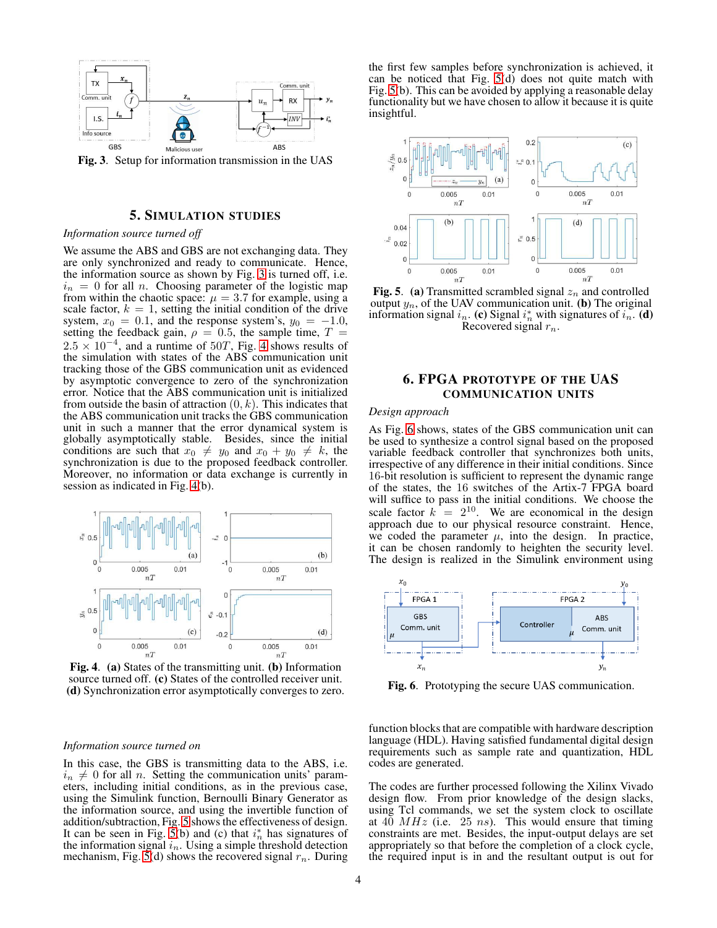

<span id="page-3-2"></span>Fig. 3. Setup for information transmission in the UAS

## 5. SIMULATION STUDIES

## <span id="page-3-6"></span><span id="page-3-0"></span>*Information source turned off*

We assume the ABS and GBS are not exchanging data. They are only synchronized and ready to communicate. Hence, the information source as shown by Fig. [3](#page-3-2) is turned off, i.e.  $i_n = 0$  for all n. Choosing parameter of the logistic map from within the chaotic space:  $\mu = 3.7$  for example, using a scale factor,  $k = 1$ , setting the initial condition of the drive system,  $x_0 = 0.1$ , and the response system's,  $y_0 = -1.0$ , setting the feedback gain,  $\rho = 0.5$ , the sample time,  $T =$  $2.5 \times 10^{-4}$ , and a runtime of 50T, Fig. [4](#page-3-3) shows results of the simulation with states of the ABS communication unit tracking those of the GBS communication unit as evidenced by asymptotic convergence to zero of the synchronization error. Notice that the ABS communication unit is initialized from outside the basin of attraction  $(0, k)$ . This indicates that the ABS communication unit tracks the GBS communication unit in such a manner that the error dynamical system is globally asymptotically stable. Besides, since the initial conditions are such that  $x_0 \neq y_0$  and  $x_0 + y_0 \neq k$ , the synchronization is due to the proposed feedback controller. Moreover, no information or data exchange is currently in session as indicated in Fig. [4\(](#page-3-3)b).



<span id="page-3-3"></span>Fig. 4. (a) States of the transmitting unit. (b) Information source turned off. (c) States of the controlled receiver unit. (d) Synchronization error asymptotically converges to zero.

## *Information source turned on*

In this case, the GBS is transmitting data to the ABS, i.e.  $i_n \neq 0$  for all n. Setting the communication units' parameters, including initial conditions, as in the previous case, using the Simulink function, Bernoulli Binary Generator as the information source, and using the invertible function of addition/subtraction, Fig. [5](#page-3-4) shows the effectiveness of design. It can be seen in Fig. [5\(](#page-3-4)b) and (c) that  $i_n^*$  has signatures of the information signal  $i_n$ . Using a simple threshold detection mechanism, Fig.  $\bar{5}$ (d) shows the recovered signal  $r_n$ . During the first few samples before synchronization is achieved, it can be noticed that Fig. [5\(](#page-3-4)d) does not quite match with Fig. [5\(](#page-3-4)b). This can be avoided by applying a reasonable delay functionality but we have chosen to allow it because it is quite insightful.



<span id="page-3-4"></span>Fig. 5. (a) Transmitted scrambled signal  $z_n$  and controlled output  $y_n$ , of the UAV communication unit. (b) The original information signal  $i_n$ . (c) Signal  $i_n^*$  with signatures of  $i_n$ . (d) Recovered signal  $r_n$ .

# <span id="page-3-1"></span>6. FPGA PROTOTYPE OF THE UAS COMMUNICATION UNITS

#### *Design approach*

As Fig. [6](#page-3-5) shows, states of the GBS communication unit can be used to synthesize a control signal based on the proposed variable feedback controller that synchronizes both units, irrespective of any difference in their initial conditions. Since 16-bit resolution is sufficient to represent the dynamic range of the states, the 16 switches of the Artix-7 FPGA board will suffice to pass in the initial conditions. We choose the scale factor  $k = 2^{10}$ . We are economical in the design approach due to our physical resource constraint. Hence, we coded the parameter  $\mu$ , into the design. In practice, it can be chosen randomly to heighten the security level. The design is realized in the Simulink environment using



<span id="page-3-5"></span>Fig. 6. Prototyping the secure UAS communication.

function blocks that are compatible with hardware description language (HDL). Having satisfied fundamental digital design requirements such as sample rate and quantization, HDL codes are generated.

The codes are further processed following the Xilinx Vivado design flow. From prior knowledge of the design slacks, using Tcl commands, we set the system clock to oscillate at 40  $MHz$  (i.e. 25 ns). This would ensure that timing constraints are met. Besides, the input-output delays are set appropriately so that before the completion of a clock cycle, the required input is in and the resultant output is out for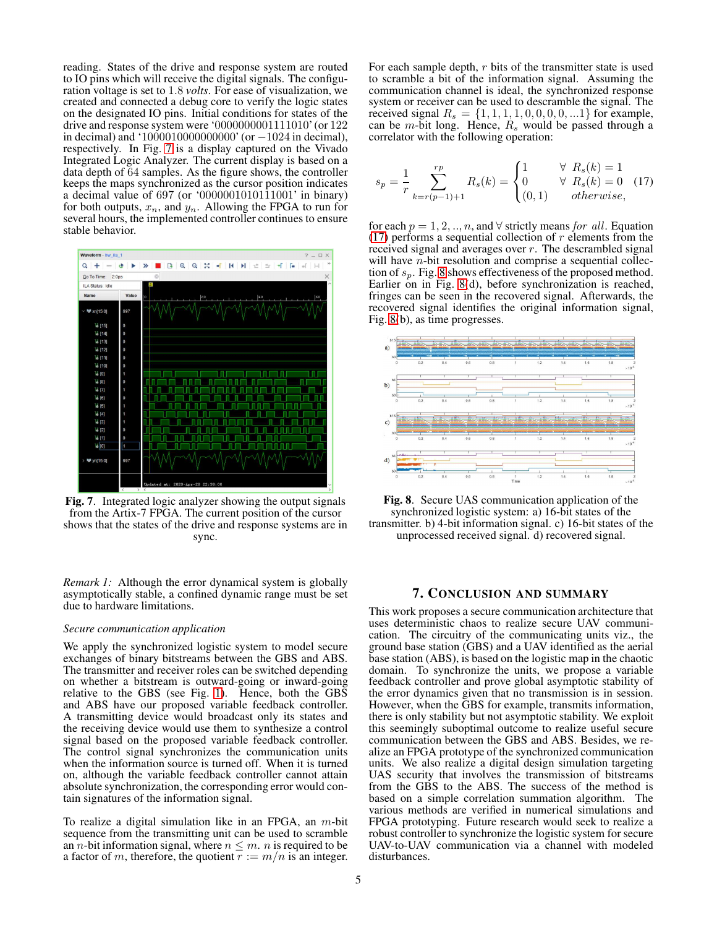reading. States of the drive and response system are routed to IO pins which will receive the digital signals. The configuration voltage is set to 1.8 *volts*. For ease of visualization, we created and connected a debug core to verify the logic states on the designated IO pins. Initial conditions for states of the drive and response system were '0000000001111010' (or 122 in decimal) and '10000100000000000' (or  $-1024$  in decimal), respectively. In Fig. [7](#page-4-1) is a display captured on the Vivado Integrated Logic Analyzer. The current display is based on a data depth of 64 samples. As the figure shows, the controller keeps the maps synchronized as the cursor position indicates a decimal value of 697 (or '0000001010111001' in binary) for both outputs,  $x_n$ , and  $y_n$ . Allowing the FPGA to run for several hours, the implemented controller continues to ensure stable behavior.



<span id="page-4-1"></span>Fig. 7. Integrated logic analyzer showing the output signals from the Artix-7 FPGA. The current position of the cursor shows that the states of the drive and response systems are in sync.

*Remark 1:* Although the error dynamical system is globally asymptotically stable, a confined dynamic range must be set due to hardware limitations.

#### *Secure communication application*

We apply the synchronized logistic system to model secure exchanges of binary bitstreams between the GBS and ABS. The transmitter and receiver roles can be switched depending on whether a bitstream is outward-going or inward-going relative to the GBS (see Fig. [1\)](#page-1-1). Hence, both the GBS and ABS have our proposed variable feedback controller. A transmitting device would broadcast only its states and the receiving device would use them to synthesize a control signal based on the proposed variable feedback controller. The control signal synchronizes the communication units when the information source is turned off. When it is turned on, although the variable feedback controller cannot attain absolute synchronization, the corresponding error would contain signatures of the information signal.

To realize a digital simulation like in an FPGA, an  $m$ -bit sequence from the transmitting unit can be used to scramble an *n*-bit information signal, where  $n \leq m$ . *n* is required to be a factor of m, therefore, the quotient  $r := m/n$  is an integer. For each sample depth,  $r$  bits of the transmitter state is used to scramble a bit of the information signal. Assuming the communication channel is ideal, the synchronized response system or receiver can be used to descramble the signal. The received signal  $R_s = \{1, 1, 1, 1, 0, 0, 0, 0, ...\}$  for example, can be m-bit long. Hence,  $R_s$  would be passed through a correlator with the following operation:

<span id="page-4-2"></span>
$$
s_p = \frac{1}{r} \sum_{k=r(p-1)+1}^{rp} R_s(k) = \begin{cases} 1 & \forall R_s(k) = 1\\ 0 & \forall R_s(k) = 0\\ (0,1) & otherwise, \end{cases}
$$
(17)

for each  $p = 1, 2, ..., n$ , and  $\forall$  strictly means for all. Equation [\(17\)](#page-4-2) performs a sequential collection of  $r$  elements from the received signal and averages over r. The descrambled signal will have  $n$ -bit resolution and comprise a sequential collection of  $s_p$ . Fig. [8](#page-4-3) shows effectiveness of the proposed method. Earlier on in Fig. [8\(](#page-4-3)d), before synchronization is reached, fringes can be seen in the recovered signal. Afterwards, the recovered signal identifies the original information signal, Fig. [8\(](#page-4-3)b), as time progresses.



<span id="page-4-3"></span>Fig. 8. Secure UAS communication application of the synchronized logistic system: a) 16-bit states of the transmitter. b) 4-bit information signal. c) 16-bit states of the unprocessed received signal. d) recovered signal.

## 7. CONCLUSION AND SUMMARY

<span id="page-4-0"></span>This work proposes a secure communication architecture that uses deterministic chaos to realize secure UAV communication. The circuitry of the communicating units viz., the ground base station (GBS) and a UAV identified as the aerial base station (ABS), is based on the logistic map in the chaotic domain. To synchronize the units, we propose a variable feedback controller and prove global asymptotic stability of the error dynamics given that no transmission is in session. However, when the GBS for example, transmits information, there is only stability but not asymptotic stability. We exploit this seemingly suboptimal outcome to realize useful secure communication between the GBS and ABS. Besides, we realize an FPGA prototype of the synchronized communication units. We also realize a digital design simulation targeting UAS security that involves the transmission of bitstreams from the GBS to the ABS. The success of the method is based on a simple correlation summation algorithm. The various methods are verified in numerical simulations and FPGA prototyping. Future research would seek to realize a robust controller to synchronize the logistic system for secure UAV-to-UAV communication via a channel with modeled disturbances.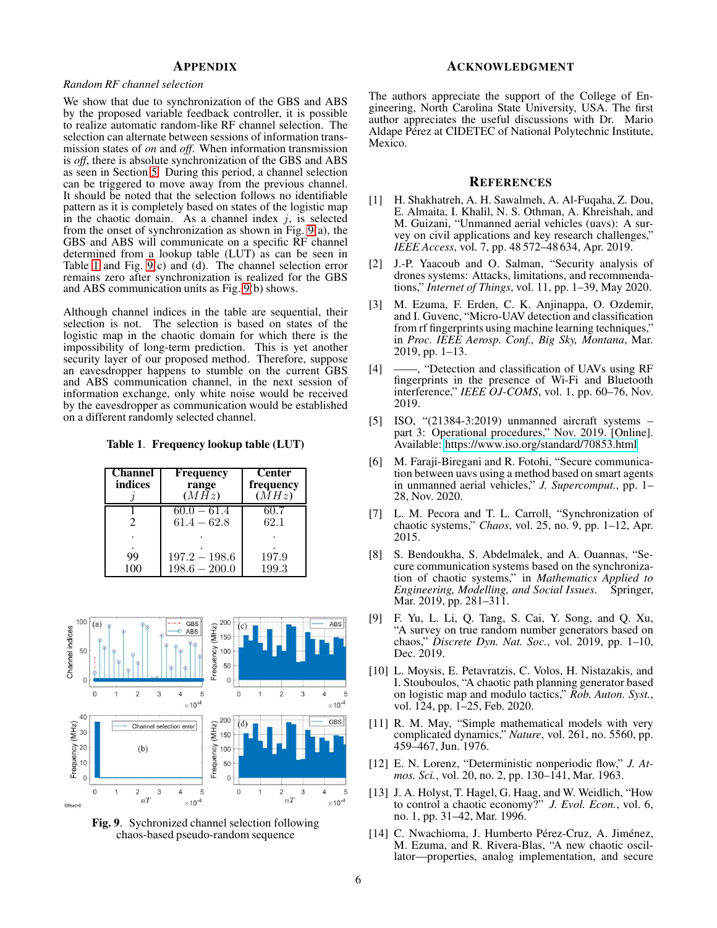# <span id="page-5-0"></span>**APPENDIX**

## <span id="page-5-16"></span>*Random RF channel selection*

We show that due to synchronization of the GBS and ABS by the proposed variable feedback controller, it is possible to realize automatic random-like RF channel selection. The selection can alternate between sessions of information transmission states of *on* and *off*. When information transmission is *off*, there is absolute synchronization of the GBS and ABS as seen in Section [5.](#page-3-6) During this period, a channel selection can be triggered to move away from the previous channel. It should be noted that the selection follows no identifiable pattern as it is completely based on states of the logistic map in the chaotic domain. As a channel index  $j$ , is selected from the onset of synchronization as shown in Fig. [9\(](#page-5-17)a), the GBS and ABS will communicate on a specific RF channel determined from a lookup table (LUT) as can be seen in Table [1](#page-5-18) and Fig. [9\(](#page-5-17)c) and (d). The channel selection error remains zero after synchronization is realized for the GBS and ABS communication units as Fig. [9\(](#page-5-17)b) shows.

Although channel indices in the table are sequential, their selection is not. The selection is based on states of the logistic map in the chaotic domain for which there is the impossibility of long-term prediction. This is yet another security layer of our proposed method. Therefore, suppose an eavesdropper happens to stumble on the current GBS and ABS communication channel, in the next session of information exchange, only white noise would be received by the eavesdropper as communication would be established on a different randomly selected channel.

<span id="page-5-18"></span>Table 1. Frequency lookup table (LUT)

| Channel<br>indices | Frequency<br>range<br>(MHz)        | <b>Center</b><br>frequency<br>(MHz) |
|--------------------|------------------------------------|-------------------------------------|
| 2                  | 60.0 — 61.4<br>$61.4 - 62.8$       | 60.7<br>62.1                        |
|                    |                                    |                                     |
| 99<br>100          | $197.2 - 198.6$<br>$198.6 - 200.0$ | 197.9<br>199.3                      |



<span id="page-5-17"></span>Fig. 9. Sychronized channel selection following chaos-based pseudo-random sequence

## ACKNOWLEDGMENT

The authors appreciate the support of the College of Engineering, North Carolina State University, USA. The first author appreciates the useful discussions with Dr. Mario Aldape Pérez at CIDETEC of National Polytechnic Institute, Mexico.

## <span id="page-5-1"></span>**REFERENCES**

- <span id="page-5-2"></span>[1] H. Shakhatreh, A. H. Sawalmeh, A. Al-Fuqaha, Z. Dou, E. Almaita, I. Khalil, N. S. Othman, A. Khreishah, and M. Guizani, "Unmanned aerial vehicles (uavs): A survey on civil applications and key research challenges," *IEEE Access*, vol. 7, pp. 48 572–48 634, Apr. 2019.
- <span id="page-5-3"></span>[2] J.-P. Yaacoub and O. Salman, "Security analysis of drones systems: Attacks, limitations, and recommendations," *Internet of Things*, vol. 11, pp. 1–39, May 2020.
- <span id="page-5-4"></span>[3] M. Ezuma, F. Erden, C. K. Anjinappa, O. Ozdemir, and I. Guvenc, "Micro-UAV detection and classification from rf fingerprints using machine learning techniques," in *Proc. IEEE Aerosp. Conf., Big Sky, Montana*, Mar. 2019, pp. 1–13.
- <span id="page-5-5"></span>[4] ——, "Detection and classification of UAVs using RF fingerprints in the presence of Wi-Fi and Bluetooth interference," *IEEE OJ-COMS*, vol. 1, pp. 60–76, Nov. 2019.
- <span id="page-5-6"></span>[5] ISO, "(21384-3:2019) unmanned aircraft systems – part 3: Operational procedures," Nov. 2019. [Online]. Available:<https://www.iso.org/standard/70853.html>
- <span id="page-5-7"></span>[6] M. Faraji-Biregani and R. Fotohi, "Secure communication between uavs using a method based on smart agents in unmanned aerial vehicles," *J. Supercomput.*, pp. 1– 28, Nov. 2020.
- <span id="page-5-8"></span>[7] L. M. Pecora and T. L. Carroll, "Synchronization of chaotic systems," *Chaos*, vol. 25, no. 9, pp. 1–12, Apr. 2015.
- <span id="page-5-9"></span>[8] S. Bendoukha, S. Abdelmalek, and A. Ouannas, "Secure communication systems based on the synchronization of chaotic systems," in *Mathematics Applied to Engineering, Modelling, and Social Issues*. Springer, Mar. 2019, pp. 281–311.
- <span id="page-5-10"></span>[9] F. Yu, L. Li, Q. Tang, S. Cai, Y. Song, and Q. Xu, "A survey on true random number generators based on chaos," *Discrete Dyn. Nat. Soc.*, vol. 2019, pp. 1–10, Dec. 2019.
- <span id="page-5-11"></span>[10] L. Moysis, E. Petavratzis, C. Volos, H. Nistazakis, and I. Stouboulos, "A chaotic path planning generator based on logistic map and modulo tactics," *Rob. Auton. Syst.*, vol. 124, pp. 1–25, Feb. 2020.
- <span id="page-5-12"></span>[11] R. M. May, "Simple mathematical models with very complicated dynamics," *Nature*, vol. 261, no. 5560, pp. 459–467, Jun. 1976.
- <span id="page-5-13"></span>[12] E. N. Lorenz, "Deterministic nonperiodic flow," *J. Atmos. Sci.*, vol. 20, no. 2, pp. 130–141, Mar. 1963.
- <span id="page-5-14"></span>[13] J. A. Holyst, T. Hagel, G. Haag, and W. Weidlich, "How to control a chaotic economy?" *J. Evol. Econ.*, vol. 6, no. 1, pp. 31–42, Mar. 1996.
- <span id="page-5-15"></span>[14] C. Nwachioma, J. Humberto Pérez-Cruz, A. Jiménez, M. Ezuma, and R. Rivera-Blas, "A new chaotic oscillator—properties, analog implementation, and secure